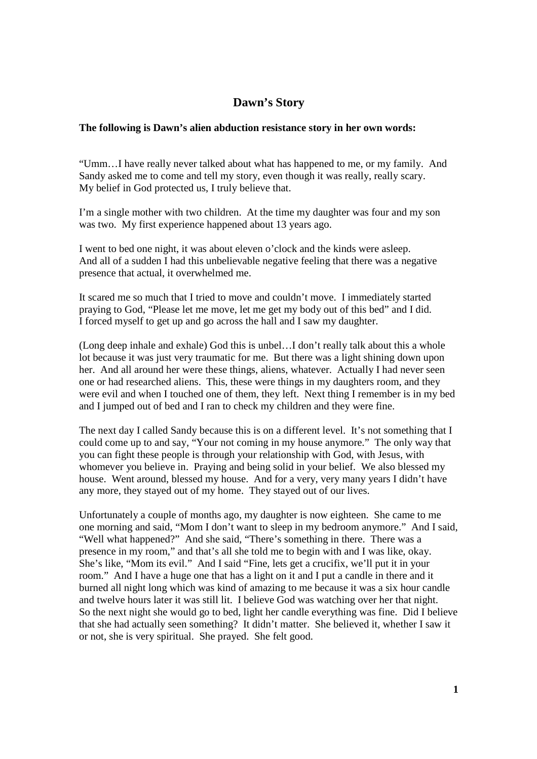## **Dawn's Story**

## **The following is Dawn's alien abduction resistance story in her own words:**

"Umm…I have really never talked about what has happened to me, or my family. And Sandy asked me to come and tell my story, even though it was really, really scary. My belief in God protected us, I truly believe that.

I'm a single mother with two children. At the time my daughter was four and my son was two. My first experience happened about 13 years ago.

I went to bed one night, it was about eleven o'clock and the kinds were asleep. And all of a sudden I had this unbelievable negative feeling that there was a negative presence that actual, it overwhelmed me.

It scared me so much that I tried to move and couldn't move. I immediately started praying to God, "Please let me move, let me get my body out of this bed" and I did. I forced myself to get up and go across the hall and I saw my daughter.

(Long deep inhale and exhale) God this is unbel…I don't really talk about this a whole lot because it was just very traumatic for me. But there was a light shining down upon her. And all around her were these things, aliens, whatever. Actually I had never seen one or had researched aliens. This, these were things in my daughters room, and they were evil and when I touched one of them, they left. Next thing I remember is in my bed and I jumped out of bed and I ran to check my children and they were fine.

The next day I called Sandy because this is on a different level. It's not something that I could come up to and say, "Your not coming in my house anymore." The only way that you can fight these people is through your relationship with God, with Jesus, with whomever you believe in. Praying and being solid in your belief. We also blessed my house. Went around, blessed my house. And for a very, very many years I didn't have any more, they stayed out of my home. They stayed out of our lives.

Unfortunately a couple of months ago, my daughter is now eighteen. She came to me one morning and said, "Mom I don't want to sleep in my bedroom anymore." And I said, "Well what happened?" And she said, "There's something in there. There was a presence in my room," and that's all she told me to begin with and I was like, okay. She's like, "Mom its evil." And I said "Fine, lets get a crucifix, we'll put it in your room." And I have a huge one that has a light on it and I put a candle in there and it burned all night long which was kind of amazing to me because it was a six hour candle and twelve hours later it was still lit. I believe God was watching over her that night. So the next night she would go to bed, light her candle everything was fine. Did I believe that she had actually seen something? It didn't matter. She believed it, whether I saw it or not, she is very spiritual. She prayed. She felt good.